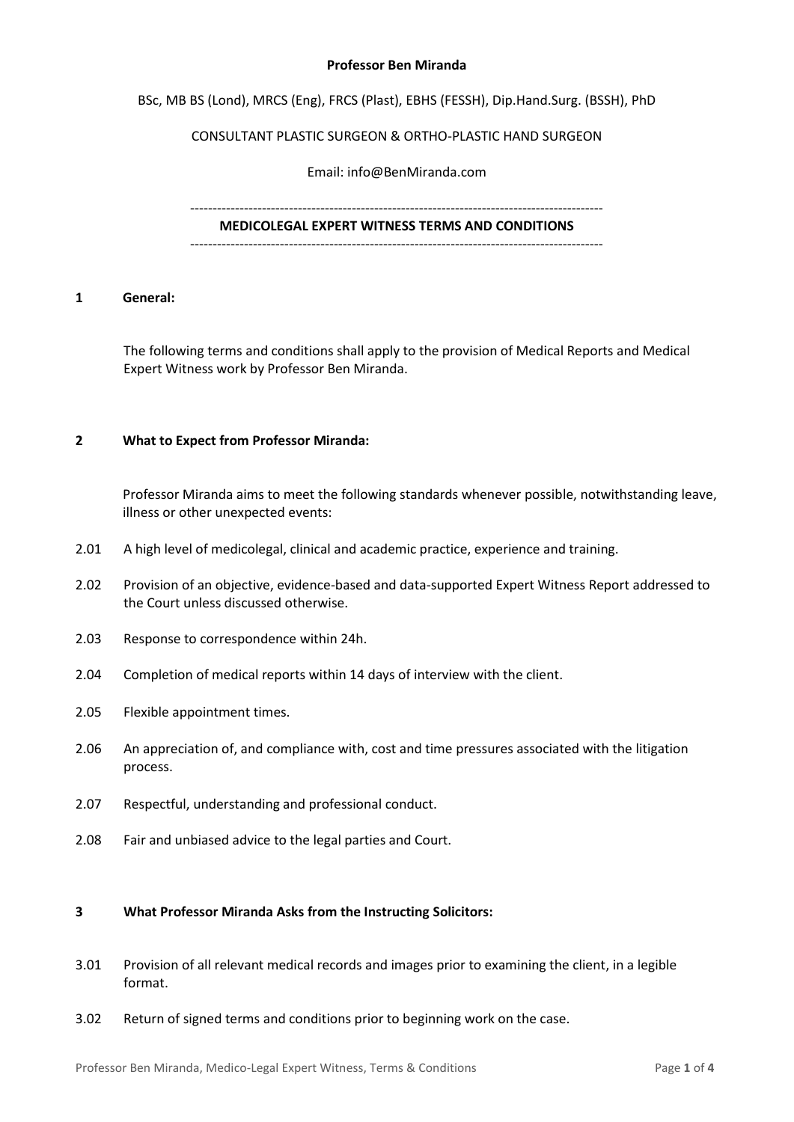#### **Professor Ben Miranda**

BSc, MB BS (Lond), MRCS (Eng), FRCS (Plast), EBHS (FESSH), Dip.Hand.Surg. (BSSH), PhD

## CONSULTANT PLASTIC SURGEON & ORTHO-PLASTIC HAND SURGEON

Email: info@BenMiranda.com

### --------------------------------------------------------------------------------------------

**MEDICOLEGAL EXPERT WITNESS TERMS AND CONDITIONS** --------------------------------------------------------------------------------------------

#### **1 General:**

The following terms and conditions shall apply to the provision of Medical Reports and Medical Expert Witness work by Professor Ben Miranda.

## **2 What to Expect from Professor Miranda:**

Professor Miranda aims to meet the following standards whenever possible, notwithstanding leave, illness or other unexpected events:

- 2.01 A high level of medicolegal, clinical and academic practice, experience and training.
- 2.02 Provision of an objective, evidence-based and data-supported Expert Witness Report addressed to the Court unless discussed otherwise.
- 2.03 Response to correspondence within 24h.
- 2.04 Completion of medical reports within 14 days of interview with the client.
- 2.05 Flexible appointment times.
- 2.06 An appreciation of, and compliance with, cost and time pressures associated with the litigation process.
- 2.07 Respectful, understanding and professional conduct.
- 2.08 Fair and unbiased advice to the legal parties and Court.

### **3 What Professor Miranda Asks from the Instructing Solicitors:**

- 3.01 Provision of all relevant medical records and images prior to examining the client, in a legible format.
- 3.02 Return of signed terms and conditions prior to beginning work on the case.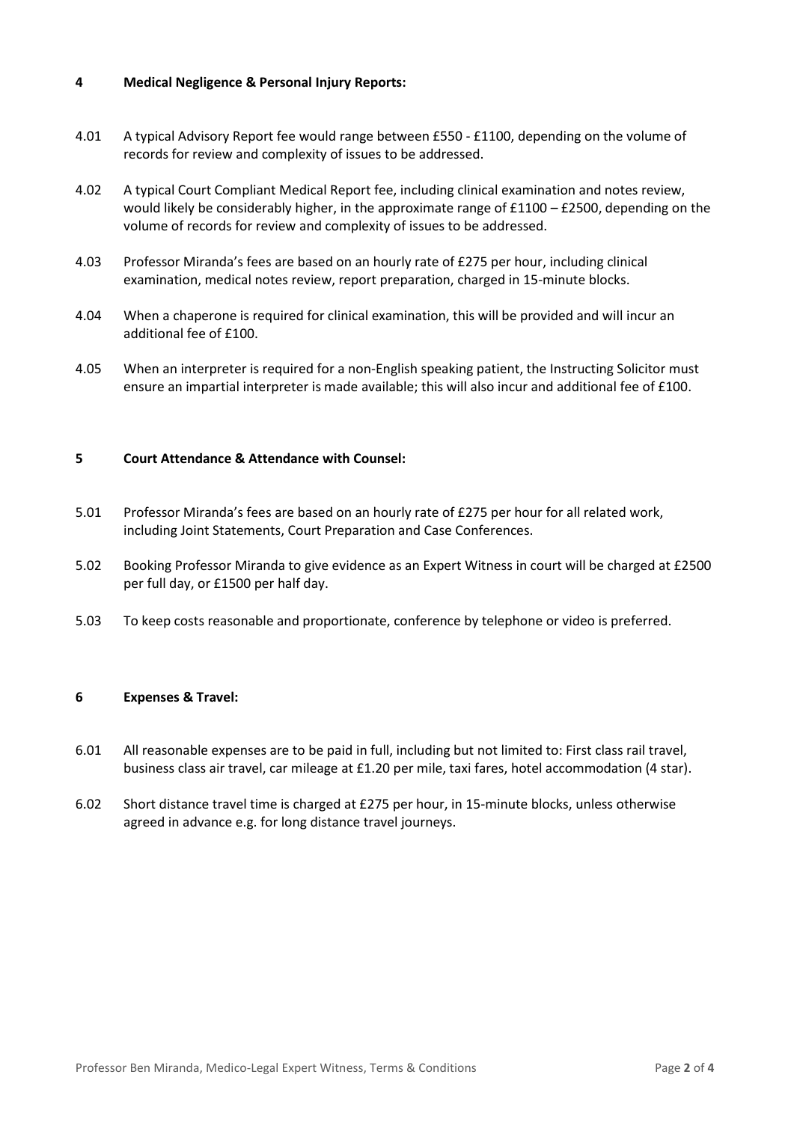## **4 Medical Negligence & Personal Injury Reports:**

- 4.01 A typical Advisory Report fee would range between £550 £1100, depending on the volume of records for review and complexity of issues to be addressed.
- 4.02 A typical Court Compliant Medical Report fee, including clinical examination and notes review, would likely be considerably higher, in the approximate range of £1100 – £2500, depending on the volume of records for review and complexity of issues to be addressed.
- 4.03 Professor Miranda's fees are based on an hourly rate of £275 per hour, including clinical examination, medical notes review, report preparation, charged in 15-minute blocks.
- 4.04 When a chaperone is required for clinical examination, this will be provided and will incur an additional fee of £100.
- 4.05 When an interpreter is required for a non-English speaking patient, the Instructing Solicitor must ensure an impartial interpreter is made available; this will also incur and additional fee of £100.

# **5 Court Attendance & Attendance with Counsel:**

- 5.01 Professor Miranda's fees are based on an hourly rate of £275 per hour for all related work, including Joint Statements, Court Preparation and Case Conferences.
- 5.02 Booking Professor Miranda to give evidence as an Expert Witness in court will be charged at £2500 per full day, or £1500 per half day.
- 5.03 To keep costs reasonable and proportionate, conference by telephone or video is preferred.

## **6 Expenses & Travel:**

- 6.01 All reasonable expenses are to be paid in full, including but not limited to: First class rail travel, business class air travel, car mileage at £1.20 per mile, taxi fares, hotel accommodation (4 star).
- 6.02 Short distance travel time is charged at £275 per hour, in 15-minute blocks, unless otherwise agreed in advance e.g. for long distance travel journeys.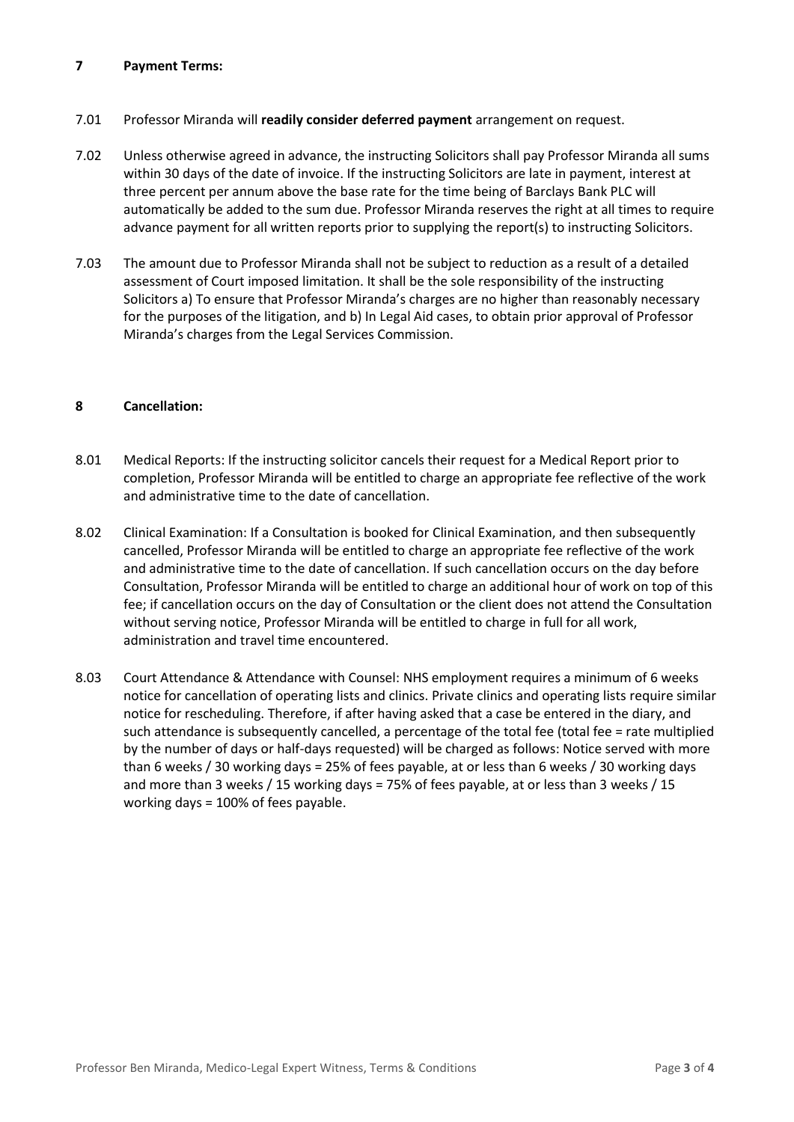# **7 Payment Terms:**

- 7.01 Professor Miranda will **readily consider deferred payment** arrangement on request.
- 7.02 Unless otherwise agreed in advance, the instructing Solicitors shall pay Professor Miranda all sums within 30 days of the date of invoice. If the instructing Solicitors are late in payment, interest at three percent per annum above the base rate for the time being of Barclays Bank PLC will automatically be added to the sum due. Professor Miranda reserves the right at all times to require advance payment for all written reports prior to supplying the report(s) to instructing Solicitors.
- 7.03 The amount due to Professor Miranda shall not be subject to reduction as a result of a detailed assessment of Court imposed limitation. It shall be the sole responsibility of the instructing Solicitors a) To ensure that Professor Miranda's charges are no higher than reasonably necessary for the purposes of the litigation, and b) In Legal Aid cases, to obtain prior approval of Professor Miranda's charges from the Legal Services Commission.

## **8 Cancellation:**

- 8.01 Medical Reports: If the instructing solicitor cancels their request for a Medical Report prior to completion, Professor Miranda will be entitled to charge an appropriate fee reflective of the work and administrative time to the date of cancellation.
- 8.02 Clinical Examination: If a Consultation is booked for Clinical Examination, and then subsequently cancelled, Professor Miranda will be entitled to charge an appropriate fee reflective of the work and administrative time to the date of cancellation. If such cancellation occurs on the day before Consultation, Professor Miranda will be entitled to charge an additional hour of work on top of this fee; if cancellation occurs on the day of Consultation or the client does not attend the Consultation without serving notice, Professor Miranda will be entitled to charge in full for all work, administration and travel time encountered.
- 8.03 Court Attendance & Attendance with Counsel: NHS employment requires a minimum of 6 weeks notice for cancellation of operating lists and clinics. Private clinics and operating lists require similar notice for rescheduling. Therefore, if after having asked that a case be entered in the diary, and such attendance is subsequently cancelled, a percentage of the total fee (total fee = rate multiplied by the number of days or half-days requested) will be charged as follows: Notice served with more than 6 weeks / 30 working days = 25% of fees payable, at or less than 6 weeks / 30 working days and more than 3 weeks / 15 working days = 75% of fees payable, at or less than 3 weeks / 15 working days = 100% of fees payable.